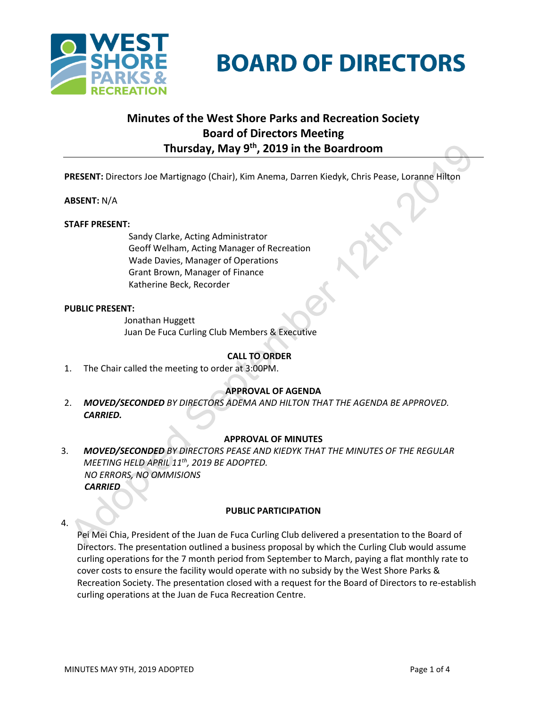

# **BOARD OF DIRECTORS**

# **Minutes of the West Shore Parks and Recreation Society Board of Directors Meeting Thursday, May 9th, 2019 in the Boardroom**

**PRESENT:** Directors Joe Martignago (Chair), Kim Anema, Darren Kiedyk, Chris Pease, Loranne Hilton

# **ABSENT:** N/A

## **STAFF PRESENT:**

Sandy Clarke, Acting Administrator Geoff Welham, Acting Manager of Recreation Wade Davies, Manager of Operations Grant Brown, Manager of Finance Katherine Beck, Recorder

## **PUBLIC PRESENT:**

Jonathan Huggett Juan De Fuca Curling Club Members & Executive

# **CALL TO ORDER**

1. The Chair called the meeting to order at 3:00PM.

# **APPROVAL OF AGENDA**

2. *MOVED/SECONDED BY DIRECTORS ADEMA AND HILTON THAT THE AGENDA BE APPROVED. CARRIED.*

# **APPROVAL OF MINUTES**

3. *MOVED/SECONDED BY DIRECTORS PEASE AND KIEDYK THAT THE MINUTES OF THE REGULAR MEETING HELD APRIL 11th, 2019 BE ADOPTED. NO ERRORS, NO OMMISIONS CARRIED*

# **PUBLIC PARTICIPATION**

4.

Pei Mei Chia, President of the Juan de Fuca Curling Club delivered a presentation to the Board of Directors. The presentation outlined a business proposal by which the Curling Club would assume curling operations for the 7 month period from September to March, paying a flat monthly rate to cover costs to ensure the facility would operate with no subsidy by the West Shore Parks & Recreation Society. The presentation closed with a request for the Board of Directors to re-establish curling operations at the Juan de Fuca Recreation Centre.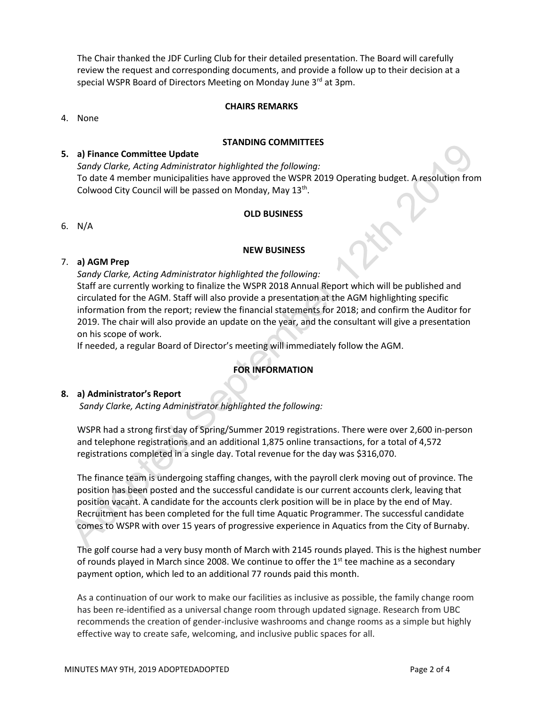The Chair thanked the JDF Curling Club for their detailed presentation. The Board will carefully review the request and corresponding documents, and provide a follow up to their decision at a special WSPR Board of Directors Meeting on Monday June 3rd at 3pm.

#### **CHAIRS REMARKS**

4. None

#### **STANDING COMMITTEES**

#### **5. a) Finance Committee Update**

*Sandy Clarke, Acting Administrator highlighted the following:* To date 4 member municipalities have approved the WSPR 2019 Operating budget. A resolution from Colwood City Council will be passed on Monday, May 13th.

#### **OLD BUSINESS**

6. N/A

#### **NEW BUSINESS**

#### 7. **a) AGM Prep**

*Sandy Clarke, Acting Administrator highlighted the following:*

Staff are currently working to finalize the WSPR 2018 Annual Report which will be published and circulated for the AGM. Staff will also provide a presentation at the AGM highlighting specific information from the report; review the financial statements for 2018; and confirm the Auditor for 2019. The chair will also provide an update on the year, and the consultant will give a presentation on his scope of work.

If needed, a regular Board of Director's meeting will immediately follow the AGM.

# **FOR INFORMATION**

#### **8. a) Administrator's Report**

*Sandy Clarke, Acting Administrator highlighted the following:*

WSPR had a strong first day of Spring/Summer 2019 registrations. There were over 2,600 in-person and telephone registrations and an additional 1,875 online transactions, for a total of 4,572 registrations completed in a single day. Total revenue for the day was \$316,070.

The finance team is undergoing staffing changes, with the payroll clerk moving out of province. The position has been posted and the successful candidate is our current accounts clerk, leaving that position vacant. A candidate for the accounts clerk position will be in place by the end of May. Recruitment has been completed for the full time Aquatic Programmer. The successful candidate comes to WSPR with over 15 years of progressive experience in Aquatics from the City of Burnaby.

The golf course had a very busy month of March with 2145 rounds played. This is the highest number of rounds played in March since 2008. We continue to offer the  $1<sup>st</sup>$  tee machine as a secondary payment option, which led to an additional 77 rounds paid this month.

As a continuation of our work to make our facilities as inclusive as possible, the family change room has been re-identified as a universal change room through updated signage. Research from UBC recommends the creation of gender-inclusive washrooms and change rooms as a simple but highly effective way to create safe, welcoming, and inclusive public spaces for all.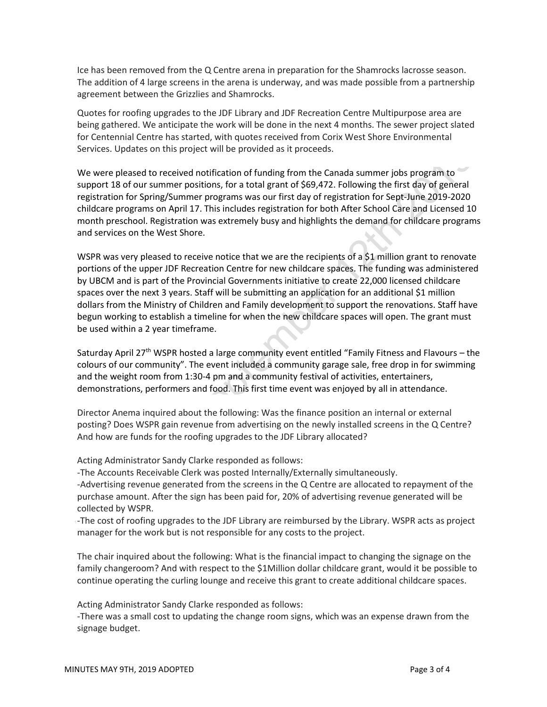Ice has been removed from the Q Centre arena in preparation for the Shamrocks lacrosse season. The addition of 4 large screens in the arena is underway, and was made possible from a partnership agreement between the Grizzlies and Shamrocks.

Quotes for roofing upgrades to the JDF Library and JDF Recreation Centre Multipurpose area are being gathered. We anticipate the work will be done in the next 4 months. The sewer project slated for Centennial Centre has started, with quotes received from Corix West Shore Environmental Services. Updates on this project will be provided as it proceeds.

We were pleased to received notification of funding from the Canada summer jobs program to support 18 of our summer positions, for a total grant of \$69,472. Following the first day of general registration for Spring/Summer programs was our first day of registration for Sept-June 2019-2020 childcare programs on April 17. This includes registration for both After School Care and Licensed 10 month preschool. Registration was extremely busy and highlights the demand for childcare programs and services on the West Shore.

WSPR was very pleased to receive notice that we are the recipients of a \$1 million grant to renovate portions of the upper JDF Recreation Centre for new childcare spaces. The funding was administered by UBCM and is part of the Provincial Governments initiative to create 22,000 licensed childcare spaces over the next 3 years. Staff will be submitting an application for an additional \$1 million dollars from the Ministry of Children and Family development to support the renovations. Staff have begun working to establish a timeline for when the new childcare spaces will open. The grant must be used within a 2 year timeframe.

Saturday April 27<sup>th</sup> WSPR hosted a large community event entitled "Family Fitness and Flavours - the colours of our community". The event included a community garage sale, free drop in for swimming and the weight room from 1:30-4 pm and a community festival of activities, entertainers, demonstrations, performers and food. This first time event was enjoyed by all in attendance.

Director Anema inquired about the following: Was the finance position an internal or external posting? Does WSPR gain revenue from advertising on the newly installed screens in the Q Centre? And how are funds for the roofing upgrades to the JDF Library allocated?

Acting Administrator Sandy Clarke responded as follows:

-The Accounts Receivable Clerk was posted Internally/Externally simultaneously.

-Advertising revenue generated from the screens in the Q Centre are allocated to repayment of the purchase amount. After the sign has been paid for, 20% of advertising revenue generated will be collected by WSPR.

-The cost of roofing upgrades to the JDF Library are reimbursed by the Library. WSPR acts as project manager for the work but is not responsible for any costs to the project.

The chair inquired about the following: What is the financial impact to changing the signage on the family changeroom? And with respect to the \$1Million dollar childcare grant, would it be possible to continue operating the curling lounge and receive this grant to create additional childcare spaces.

Acting Administrator Sandy Clarke responded as follows:

-There was a small cost to updating the change room signs, which was an expense drawn from the signage budget.